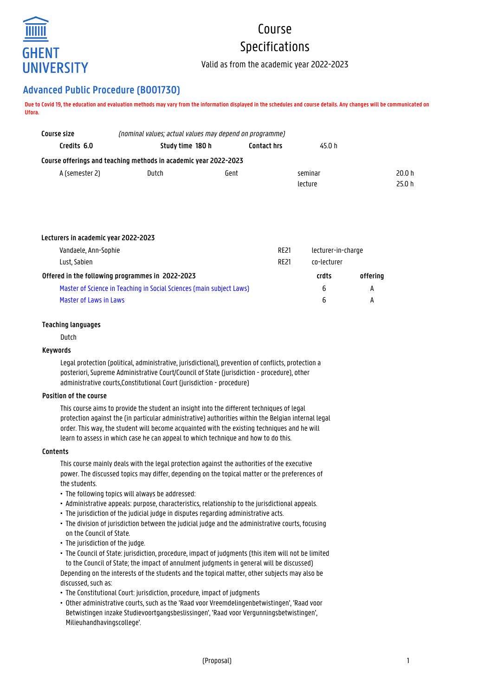

# Course Specifications

Valid as from the academic year 2022-2023

# **Advanced Public Procedure (B001730)**

**Due to Covid 19, the education and evaluation methods may vary from the information displayed in the schedules and course details. Any changes will be communicated on Ufora.**

| Course size    | (nominal values; actual values may depend on programme)          |                    |         |        |  |
|----------------|------------------------------------------------------------------|--------------------|---------|--------|--|
| Credits 6.0    | Study time 180 h                                                 | <b>Contact hrs</b> | 45.0 h  |        |  |
|                | Course offerings and teaching methods in academic year 2022-2023 |                    |         |        |  |
| A (semester 2) | Dutch                                                            | Gent               | seminar | 20.0h  |  |
|                |                                                                  |                    | lecture | 25.0 h |  |

| <b>RE21</b>                                                          | lecturer-in-charge |             |  |
|----------------------------------------------------------------------|--------------------|-------------|--|
| Lust, Sabien<br><b>RF21</b>                                          |                    | co-lecturer |  |
| Offered in the following programmes in 2022-2023                     |                    |             |  |
| Master of Science in Teaching in Social Sciences (main subject Laws) |                    | A           |  |
|                                                                      | 6                  | A           |  |
|                                                                      |                    | crdts<br>6  |  |

# **Teaching languages**

Dutch

# **Keywords**

Legal protection (political, administrative, jurisdictional), prevention of conflicts, protection a posteriori, Supreme Administrative Court/Council of State (jurisdiction - procedure), other administrative courts,Constitutional Court (jurisdiction - procedure)

# **Position of the course**

This course aims to provide the student an insight into the different techniques of legal protection against the (in particular administrative) authorities within the Belgian internal legal order. This way, the student will become acquainted with the existing techniques and he will learn to assess in which case he can appeal to which technique and how to do this.

# **Contents**

This course mainly deals with the legal protection against the authorities of the executive power. The discussed topics may differ, depending on the topical matter or the preferences of the students.

- The following topics will always be addressed:
- Administrative appeals: purpose, characteristics, relationship to the jurisdictional appeals.
- The jurisdiction of the judicial judge in disputes regarding administrative acts.
- The division of jurisdiction between the judicial judge and the administrative courts, focusing on the Council of State.
- The jurisdiction of the judge.
- The Council of State: jurisdiction, procedure, impact of judgments (this item will not be limited • to the Council of State; the impact of annulment judgments in general will be discussed) Depending on the interests of the students and the topical matter, other subjects may also be discussed, such as:
- The Constitutional Court: jurisdiction, procedure, impact of judgments
- Other administrative courts, such as the 'Raad voor Vreemdelingenbetwistingen', 'Raad voor • Betwistingen inzake Studievoortgangsbeslissingen', 'Raad voor Vergunningsbetwistingen', • Milieuhandhavingscollege'.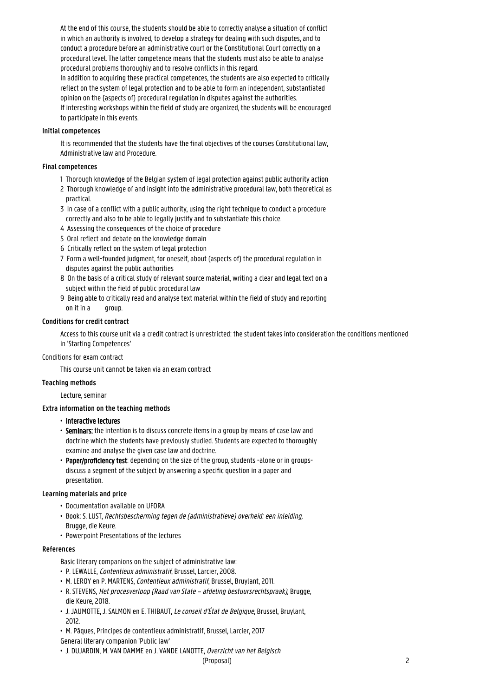At the end of this course, the students should be able to correctly analyse a situation of conflict in which an authority is involved, to develop a strategy for dealing with such disputes, and to conduct a procedure before an administrative court or the Constitutional Court correctly on a procedural level. The latter competence means that the students must also be able to analyse procedural problems thoroughly and to resolve conflicts in this regard.

In addition to acquiring these practical competences, the students are also expected to critically reflect on the system of legal protection and to be able to form an independent, substantiated opinion on the (aspects of) procedural regulation in disputes against the authorities. If interesting workshops within the field of study are organized, the students will be encouraged to participate in this events.

# **Initial competences**

It is recommended that the students have the final objectives of the courses Constitutional law, Administrative law and Procedure.

# **Final competences**

- 1 Thorough knowledge of the Belgian system of legal protection against public authority action
- 2 Thorough knowledge of and insight into the administrative procedural law, both theoretical as practical.
- 3 In case of a conflict with a public authority, using the right technique to conduct a procedure correctly and also to be able to legally justify and to substantiate this choice.
- 4 Assessing the consequences of the choice of procedure
- 5 Oral reflect and debate on the knowledge domain
- 6 Critically reflect on the system of legal protection
- 7 Form a well-founded judgment, for oneself, about (aspects of) the procedural regulation in disputes against the public authorities
- 8 On the basis of a critical study of relevant source material, writing a clear and legal text on a subject within the field of public procedural law
- 9 Being able to critically read and analyse text material within the field of study and reporting on it in a group.

# **Conditions for credit contract**

Access to this course unit via a credit contract is unrestricted: the student takes into consideration the conditions mentioned in 'Starting Competences'

#### Conditions for exam contract

This course unit cannot be taken via an exam contract

#### **Teaching methods**

Lecture, seminar

# **Extra information on the teaching methods**

- Interactive lectures
- Seminars: the intention is to discuss concrete items in a group by means of case law and • doctrine which the students have previously studied. Students are expected to thoroughly examine and analyse the given case law and doctrine.
- Paper/proficiency test: depending on the size of the group, students -alone or in groups-• discuss a segment of the subject by answering a specific question in a paper and • presentation.

#### **Learning materials and price**

- Documentation available on UFORA
- Book: S. LUST, Rechtsbescherming tegen de (administratieve) overheid: een inleiding, • Brugge, die Keure.
- Powerpoint Presentations of the lectures

#### **References**

Basic literary companions on the subject of administrative law:

- P. LEWALLE, Contentieux administratif, Brussel, Larcier, 2008.
- M. LEROY en P. MARTENS, Contentieux administratif, Brussel, Bruylant, 2011.
- R. STEVENS, Het procesverloop (Raad van State afdeling bestuursrechtspraak), Brugge, die Keure, 2018.
- J. JAUMOTTE, J. SALMON en E. THIBAUT, Le conseil d'État de Belgique, Brussel, Bruylant, • 2012.
- M. Pâques, Principes de contentieux administratif, Brussel, Larcier, 2017
- General literary companion 'Public law'
- J. DUJARDIN, M. VAN DAMME en J. VANDE LANOTTE, Overzicht van het Belgisch